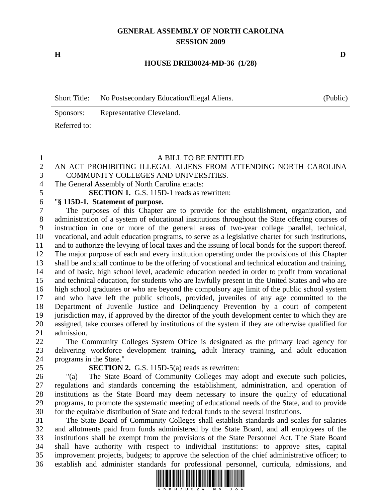## **GENERAL ASSEMBLY OF NORTH CAROLINA SESSION 2009**

**H D** 

#### **HOUSE DRH30024-MD-36 (1/28)**

| <b>Short Title:</b> | No Postsecondary Education/Illegal Aliens. | (Public) |
|---------------------|--------------------------------------------|----------|
| Sponsors:           | Representative Cleveland.                  |          |
| Referred to:        |                                            |          |

#### 1 A BILL TO BE ENTITLED

#### 2 AN ACT PROHIBITING ILLEGAL ALIENS FROM ATTENDING NORTH CAROLINA 3 COMMUNITY COLLEGES AND UNIVERSITIES.

4 The General Assembly of North Carolina enacts:

5 **SECTION 1.** G.S. 115D-1 reads as rewritten:

### 6 "**§ 115D-1. Statement of purpose.**

7 The purposes of this Chapter are to provide for the establishment, organization, and 8 administration of a system of educational institutions throughout the State offering courses of 9 instruction in one or more of the general areas of two-year college parallel, technical, 10 vocational, and adult education programs, to serve as a legislative charter for such institutions, 11 and to authorize the levying of local taxes and the issuing of local bonds for the support thereof. 12 The major purpose of each and every institution operating under the provisions of this Chapter 13 shall be and shall continue to be the offering of vocational and technical education and training, 14 and of basic, high school level, academic education needed in order to profit from vocational 15 and technical education, for students who are lawfully present in the United States and who are 16 high school graduates or who are beyond the compulsory age limit of the public school system 17 and who have left the public schools, provided, juveniles of any age committed to the 18 Department of Juvenile Justice and Delinquency Prevention by a court of competent 19 jurisdiction may, if approved by the director of the youth development center to which they are 20 assigned, take courses offered by institutions of the system if they are otherwise qualified for 21 admission.

22 The Community Colleges System Office is designated as the primary lead agency for 23 delivering workforce development training, adult literacy training, and adult education 24 programs in the State."

### 25 **SECTION 2.** G.S. 115D-5(a) reads as rewritten:

26 "(a) The State Board of Community Colleges may adopt and execute such policies, 27 regulations and standards concerning the establishment, administration, and operation of 28 institutions as the State Board may deem necessary to insure the quality of educational 29 programs, to promote the systematic meeting of educational needs of the State, and to provide 30 for the equitable distribution of State and federal funds to the several institutions.

31 The State Board of Community Colleges shall establish standards and scales for salaries 32 and allotments paid from funds administered by the State Board, and all employees of the 33 institutions shall be exempt from the provisions of the State Personnel Act. The State Board 34 shall have authority with respect to individual institutions: to approve sites, capital 35 improvement projects, budgets; to approve the selection of the chief administrative officer; to 36 establish and administer standards for professional personnel, curricula, admissions, and